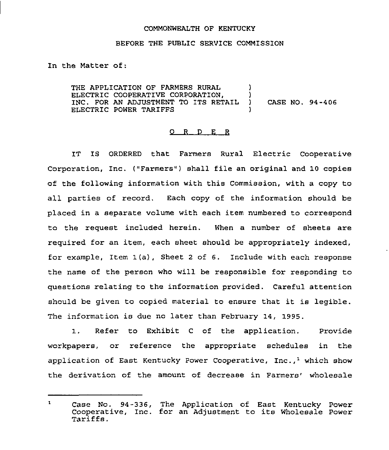## COMMONWEALTH OF KENTUCKY

## BEFORE THE PUBLIC SERVICE COMMISSION

In the Matter of:

THE APPLICATION OF FARMERS RURAL ELECTRIC COOPERATIVE CORPORATION,  $\overrightarrow{D}$  )<br>INC. FOR AN ADJUSTMENT TO ITS RETAIL ) INC. FOR AN ADJUSTMENT TO ITS RETAIL ) CASE NO. 94-406 ELECTRIC POWER TARIFFS

## 0 <sup>R</sup> <sup>D</sup> E <sup>R</sup>

IT IS ORDERED that Farmers Rural Electric Cooperative Corporation, Inc. ("Farmers") shall file an original and 10 copies of the following information with this Commission, with a copy to all parties of record. Each copy of the information should be placed in a separate volume with each item numbered to correspond to the request included herein, When a number of sheets are required for an item, each sheet should be appropriately indexed, for example, Item 1(a), Sheet <sup>2</sup> of 6. Include with each response the name of the person who will be responsible for responding to questions relating to the information provided. Careful attention should be given to copied material to ensure that it is legible. The information is due no later than February 14, 1995.

1, Refer to Exhibit <sup>C</sup> of the application. Provide workpapers, or reference the appropriate schedules in the application of East Kentucky Power Cooperative,  $Inc._1$  which show the derivation of the amount of decrease in Farmers' wholesale

Case No. 94-336, The Application of East Kentucky Power  $\mathbf{1}$ Case No. 54-536, The Apprication of East Rentucky Power<br>Cooperative, Inc. for an Adjustment to its Wholesale Power<br>Tariffs.